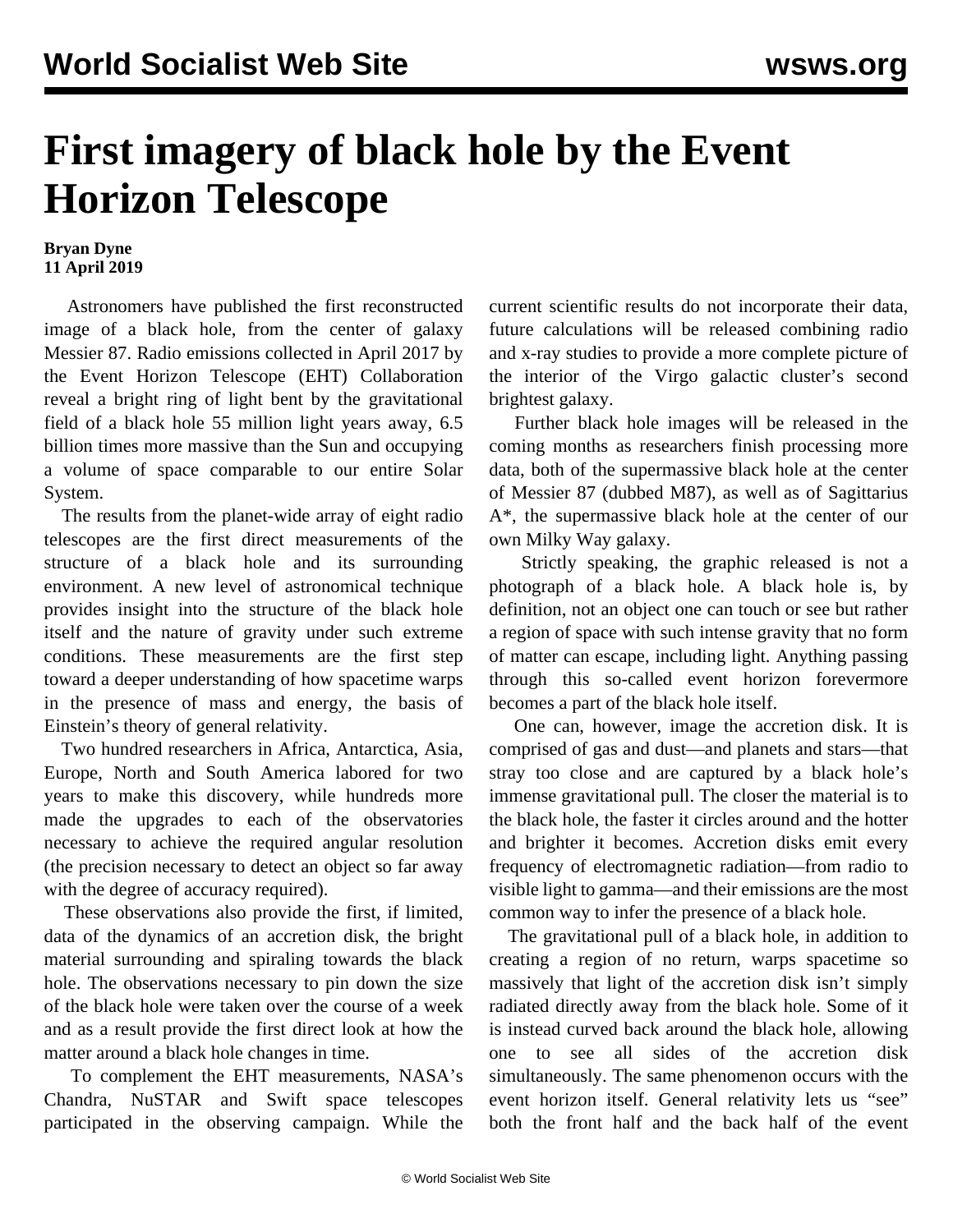## **First imagery of black hole by the Event Horizon Telescope**

## **Bryan Dyne 11 April 2019**

 Astronomers have published the first reconstructed image of a black hole, from the center of galaxy Messier 87. Radio emissions collected in April 2017 by the Event Horizon Telescope (EHT) Collaboration reveal a bright ring of light bent by the gravitational field of a black hole 55 million light years away, 6.5 billion times more massive than the Sun and occupying a volume of space comparable to our entire Solar System.

 The results from the planet-wide array of eight radio telescopes are the first direct measurements of the structure of a black hole and its surrounding environment. A new level of astronomical technique provides insight into the structure of the black hole itself and the nature of gravity under such extreme conditions. These measurements are the first step toward a deeper understanding of how spacetime warps in the presence of mass and energy, the basis of Einstein's theory of general relativity.

 Two hundred researchers in Africa, Antarctica, Asia, Europe, North and South America labored for two years to make this discovery, while hundreds more made the upgrades to each of the observatories necessary to achieve the required angular resolution (the precision necessary to detect an object so far away with the degree of accuracy required).

 These observations also provide the first, if limited, data of the dynamics of an accretion disk, the bright material surrounding and spiraling towards the black hole. The observations necessary to pin down the size of the black hole were taken over the course of a week and as a result provide the first direct look at how the matter around a black hole changes in time.

 To complement the EHT measurements, NASA's Chandra, NuSTAR and Swift space telescopes participated in the observing campaign. While the current scientific results do not incorporate their data, future calculations will be released combining radio and x-ray studies to provide a more complete picture of the interior of the Virgo galactic cluster's second brightest galaxy.

 Further black hole images will be released in the coming months as researchers finish processing more data, both of the supermassive black hole at the center of Messier 87 (dubbed M87), as well as of Sagittarius A\*, the supermassive black hole at the center of our own Milky Way galaxy.

 Strictly speaking, the graphic released is not a photograph of a black hole. A black hole is, by definition, not an object one can touch or see but rather a region of space with such intense gravity that no form of matter can escape, including light. Anything passing through this so-called event horizon forevermore becomes a part of the black hole itself.

 One can, however, image the accretion disk. It is comprised of gas and dust—and planets and stars—that stray too close and are captured by a black hole's immense gravitational pull. The closer the material is to the black hole, the faster it circles around and the hotter and brighter it becomes. Accretion disks emit every frequency of electromagnetic radiation—from radio to visible light to gamma—and their emissions are the most common way to infer the presence of a black hole.

 The gravitational pull of a black hole, in addition to creating a region of no return, warps spacetime so massively that light of the accretion disk isn't simply radiated directly away from the black hole. Some of it is instead curved back around the black hole, allowing one to see all sides of the accretion disk simultaneously. The same phenomenon occurs with the event horizon itself. General relativity lets us "see" both the front half and the back half of the event